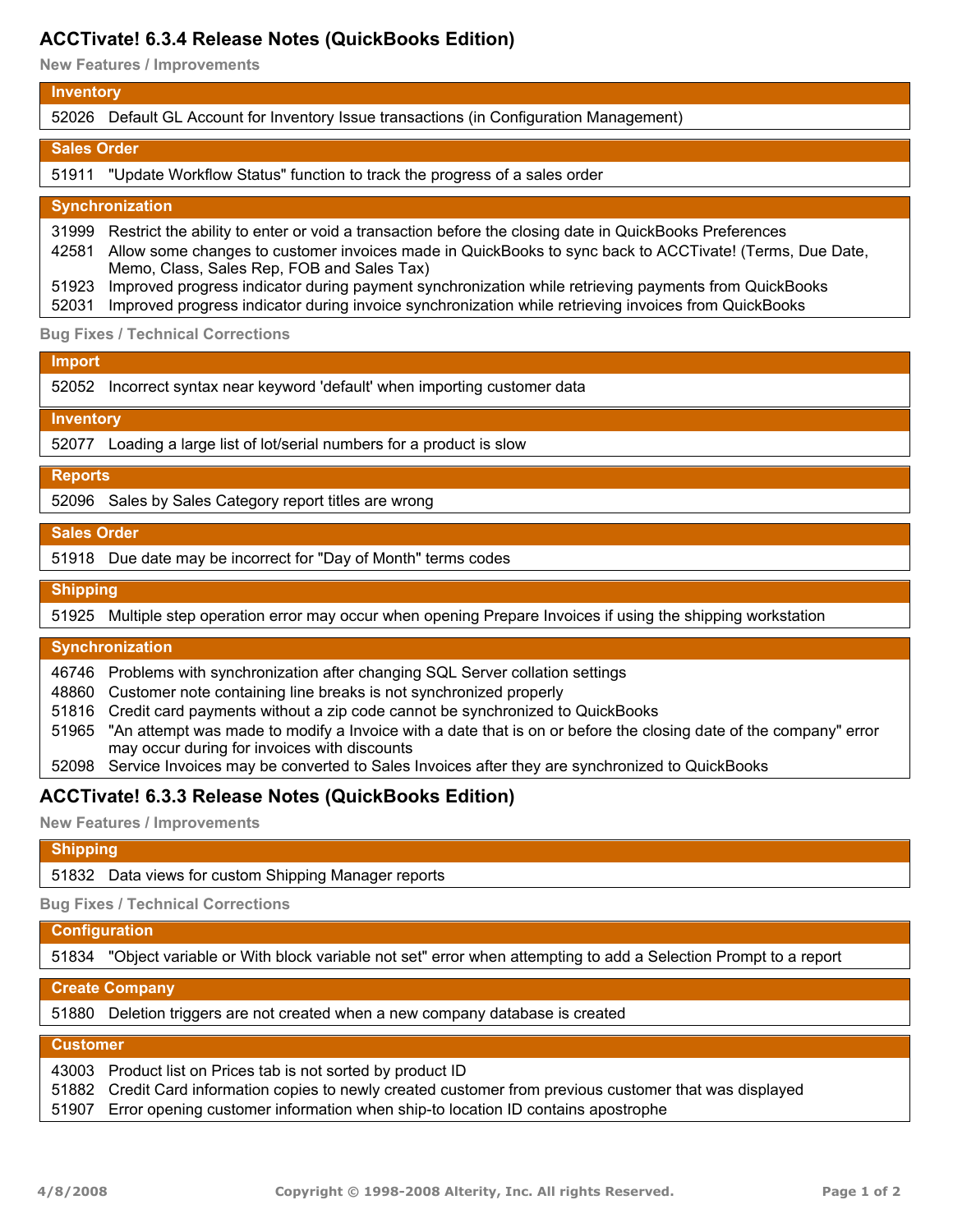# **ACCTivate! 6.3.4 Release Notes (QuickBooks Edition)**

**New Features / Improvements**

#### **Inventory**

52026 Default GL Account for Inventory Issue transactions (in Configuration Management)

#### **Sales Order**

51911 "Update Workflow Status" function to track the progress of a sales order

### **Synchronization**

31999 Restrict the ability to enter or void a transaction before the closing date in QuickBooks Preferences 42581 Allow some changes to customer invoices made in QuickBooks to sync back to ACCTivate! (Terms, Due Date,

Memo, Class, Sales Rep, FOB and Sales Tax)

51923 Improved progress indicator during payment synchronization while retrieving payments from QuickBooks

52031 Improved progress indicator during invoice synchronization while retrieving invoices from QuickBooks

**Bug Fixes / Technical Corrections**

#### **Import**

52052 Incorrect syntax near keyword 'default' when importing customer data

#### **Inventory**

52077 Loading a large list of lot/serial numbers for a product is slow

#### **Reports**

52096 Sales by Sales Category report titles are wrong

#### **Sales Order**

51918 Due date may be incorrect for "Day of Month" terms codes

### **Shipping**

51925 Multiple step operation error may occur when opening Prepare Invoices if using the shipping workstation

# **Synchronization**

46746 Problems with synchronization after changing SQL Server collation settings

48860 Customer note containing line breaks is not synchronized properly

51816 Credit card payments without a zip code cannot be synchronized to QuickBooks

51965 "An attempt was made to modify a Invoice with a date that is on or before the closing date of the company" error may occur during for invoices with discounts

52098 Service Invoices may be converted to Sales Invoices after they are synchronized to QuickBooks

# **ACCTivate! 6.3.3 Release Notes (QuickBooks Edition)**

**New Features / Improvements**

### **Shipping**

51832 Data views for custom Shipping Manager reports

**Bug Fixes / Technical Corrections**

# **Configuration** 51834 "Object variable or With block variable not set" error when attempting to add a Selection Prompt to a report

### **Create Company**

51880 Deletion triggers are not created when a new company database is created

### **Customer**

| 43003 Product list on Prices tab is not sorted by product ID                                             |
|----------------------------------------------------------------------------------------------------------|
| 51882 Credit Card information copies to newly created customer from previous customer that was displayed |
| 51907 Error opening customer information when ship-to location ID contains apostrophe                    |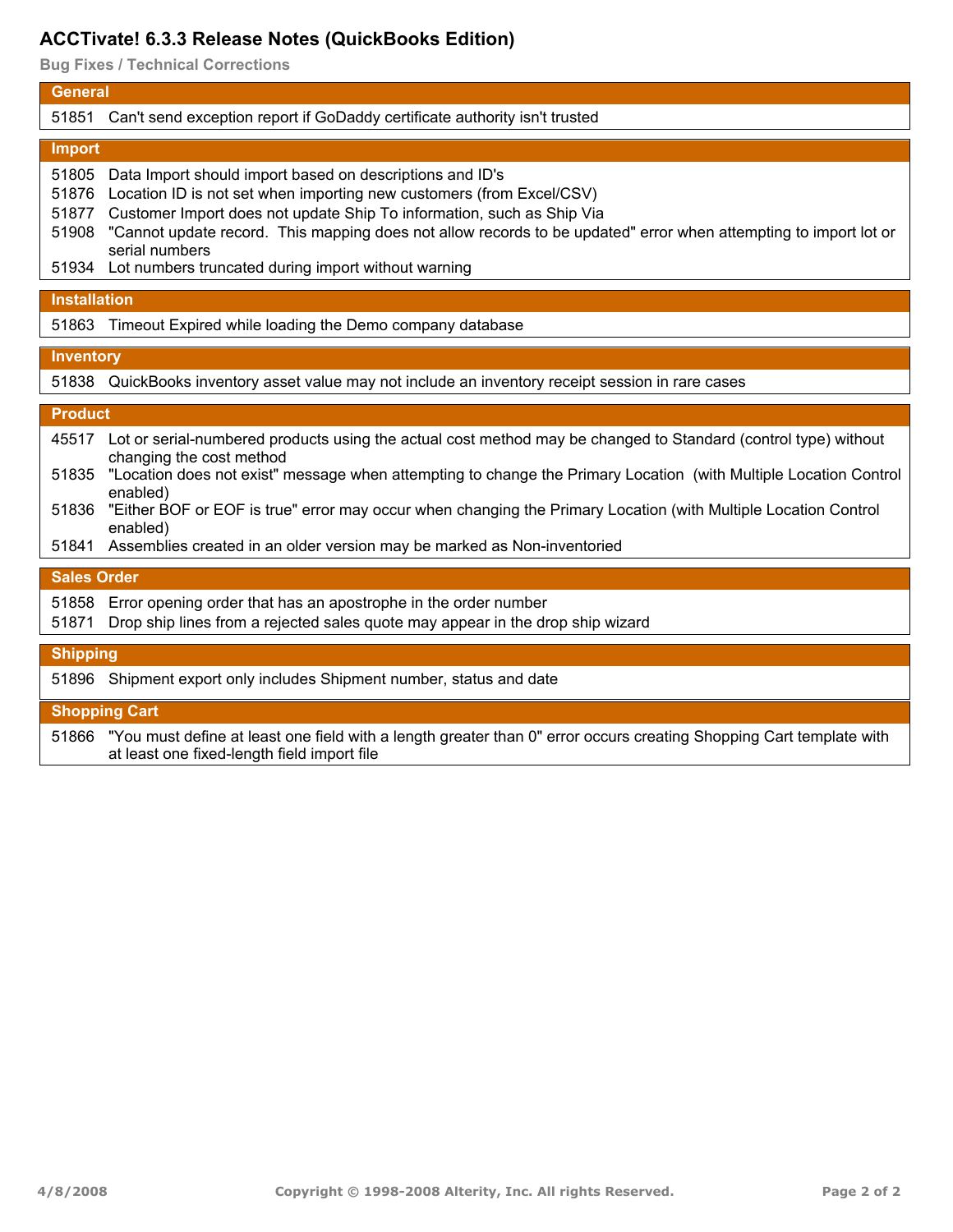# **ACCTivate! 6.3.3 Release Notes (QuickBooks Edition)**

**Bug Fixes / Technical Corrections**

# **General** 51851 Can't send exception report if GoDaddy certificate authority isn't trusted **Import** 51805 Data Import should import based on descriptions and ID's 51876 Location ID is not set when importing new customers (from Excel/CSV) 51877 Customer Import does not update Ship To information, such as Ship Via 51908 "Cannot update record. This mapping does not allow records to be updated" error when attempting to import lot or serial numbers 51934 Lot numbers truncated during import without warning **Installation** 51863 Timeout Expired while loading the Demo company database **Inventory** 51838 QuickBooks inventory asset value may not include an inventory receipt session in rare cases **Product** 45517 Lot or serial-numbered products using the actual cost method may be changed to Standard (control type) without changing the cost method 51835 "Location does not exist" message when attempting to change the Primary Location (with Multiple Location Control enabled) 51836 "Either BOF or EOF is true" error may occur when changing the Primary Location (with Multiple Location Control enabled) 51841 Assemblies created in an older version may be marked as Non-inventoried **Sales Order** 51858 Error opening order that has an apostrophe in the order number 51871 Drop ship lines from a rejected sales quote may appear in the drop ship wizard **Shipping** 51896 Shipment export only includes Shipment number, status and date **Shopping Cart**

51866 "You must define at least one field with a length greater than 0" error occurs creating Shopping Cart template with at least one fixed-length field import file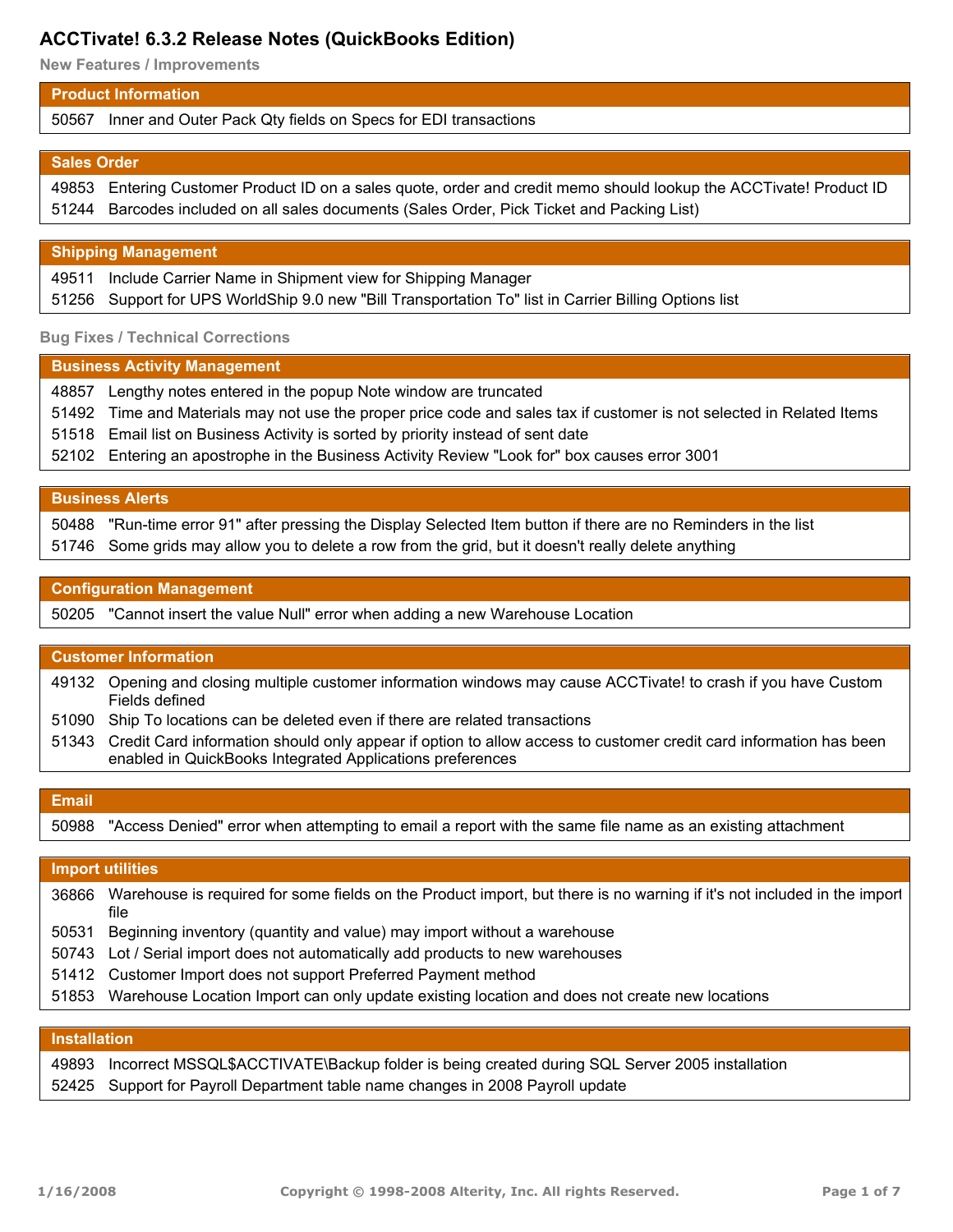# **ACCTivate! 6.3.2 Release Notes (QuickBooks Edition)**

**New Features / Improvements**

### **Product Information**

50567 Inner and Outer Pack Qty fields on Specs for EDI transactions

### **Sales Order**

49853 Entering Customer Product ID on a sales quote, order and credit memo should lookup the ACCTivate! Product ID 51244 Barcodes included on all sales documents (Sales Order, Pick Ticket and Packing List)

#### **Shipping Management**

49511 Include Carrier Name in Shipment view for Shipping Manager 51256 Support for UPS WorldShip 9.0 new "Bill Transportation To" list in Carrier Billing Options list

### **Bug Fixes / Technical Corrections**

#### **Business Activity Management**

 Lengthy notes entered in the popup Note window are truncated Time and Materials may not use the proper price code and sales tax if customer is not selected in Related Items Email list on Business Activity is sorted by priority instead of sent date Entering an apostrophe in the Business Activity Review "Look for" box causes error 3001

#### **Business Alerts**

50488 "Run-time error 91" after pressing the Display Selected Item button if there are no Reminders in the list 51746 Some grids may allow you to delete a row from the grid, but it doesn't really delete anything

### **Configuration Management**

50205 "Cannot insert the value Null" error when adding a new Warehouse Location

# **Customer Information**

49132 Opening and closing multiple customer information windows may cause ACCTivate! to crash if you have Custom Fields defined

- 51090 Ship To locations can be deleted even if there are related transactions
- 51343 Credit Card information should only appear if option to allow access to customer credit card information has been enabled in QuickBooks Integrated Applications preferences

| Email |                                                                                                                 |
|-------|-----------------------------------------------------------------------------------------------------------------|
|       | 50988 "Access Denied" error when attempting to email a report with the same file name as an existing attachment |

#### **Import utilities**

Warehouse is required for some fields on the Product import, but there is no warning if it's not included in the import 36866 file

- 50531 Beginning inventory (quantity and value) may import without a warehouse
- 50743 Lot / Serial import does not automatically add products to new warehouses
- 51412 Customer Import does not support Preferred Payment method
- 51853 Warehouse Location Import can only update existing location and does not create new locations

#### **Installation**

49893 Incorrect MSSQL\$ACCTIVATE\Backup folder is being created during SQL Server 2005 installation 52425 Support for Payroll Department table name changes in 2008 Payroll update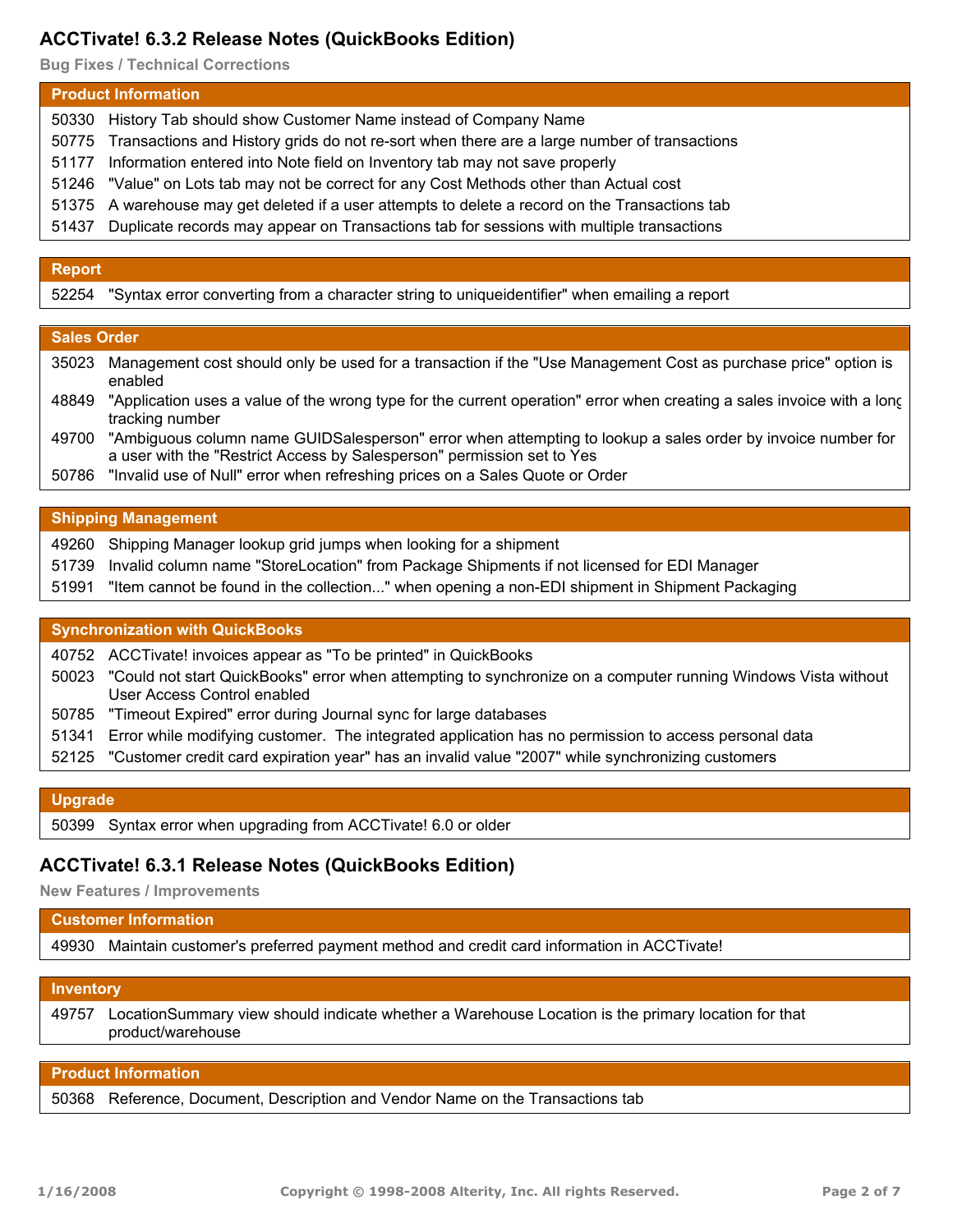# **ACCTivate! 6.3.2 Release Notes (QuickBooks Edition)**

**Bug Fixes / Technical Corrections**

## **Product Information**

- 50330 History Tab should show Customer Name instead of Company Name
- 50775 Transactions and History grids do not re-sort when there are a large number of transactions
- 51177 Information entered into Note field on Inventory tab may not save properly
- 51246 "Value" on Lots tab may not be correct for any Cost Methods other than Actual cost
- 51375 A warehouse may get deleted if a user attempts to delete a record on the Transactions tab
- 51437 Duplicate records may appear on Transactions tab for sessions with multiple transactions

# **Report**

52254 "Syntax error converting from a character string to uniqueidentifier" when emailing a report

### **Sales Order**

- 35023 Management cost should only be used for a transaction if the "Use Management Cost as purchase price" option is enabled
- 48849 "Application uses a value of the wrong type for the current operation" error when creating a sales invoice with a long tracking number
- 49700 "Ambiguous column name GUIDSalesperson" error when attempting to lookup a sales order by invoice number for a user with the "Restrict Access by Salesperson" permission set to Yes
- 50786 "Invalid use of Null" error when refreshing prices on a Sales Quote or Order

### **Shipping Management**

- 49260 Shipping Manager lookup grid jumps when looking for a shipment
- 51739 Invalid column name "StoreLocation" from Package Shipments if not licensed for EDI Manager
- 51991 "Item cannot be found in the collection..." when opening a non-EDI shipment in Shipment Packaging

### **Synchronization with QuickBooks**

40752 ACCTivate! invoices appear as "To be printed" in QuickBooks

- 50023 "Could not start QuickBooks" error when attempting to synchronize on a computer running Windows Vista without User Access Control enabled
- 50785 "Timeout Expired" error during Journal sync for large databases
- 51341 Error while modifying customer. The integrated application has no permission to access personal data
- 52125 "Customer credit card expiration year" has an invalid value "2007" while synchronizing customers

#### **Upgrade**

50399 Syntax error when upgrading from ACCTivate! 6.0 or older

# **ACCTivate! 6.3.1 Release Notes (QuickBooks Edition)**

**New Features / Improvements**

| <b>Customer Information</b> |                                                                                              |
|-----------------------------|----------------------------------------------------------------------------------------------|
|                             | 49930 Maintain customer's preferred payment method and credit card information in ACCTivate! |
|                             |                                                                                              |

#### **Inventory**

LocationSummary view should indicate whether a Warehouse Location is the primary location for that product/warehouse 49757

### **Product Information**

50368 Reference, Document, Description and Vendor Name on the Transactions tab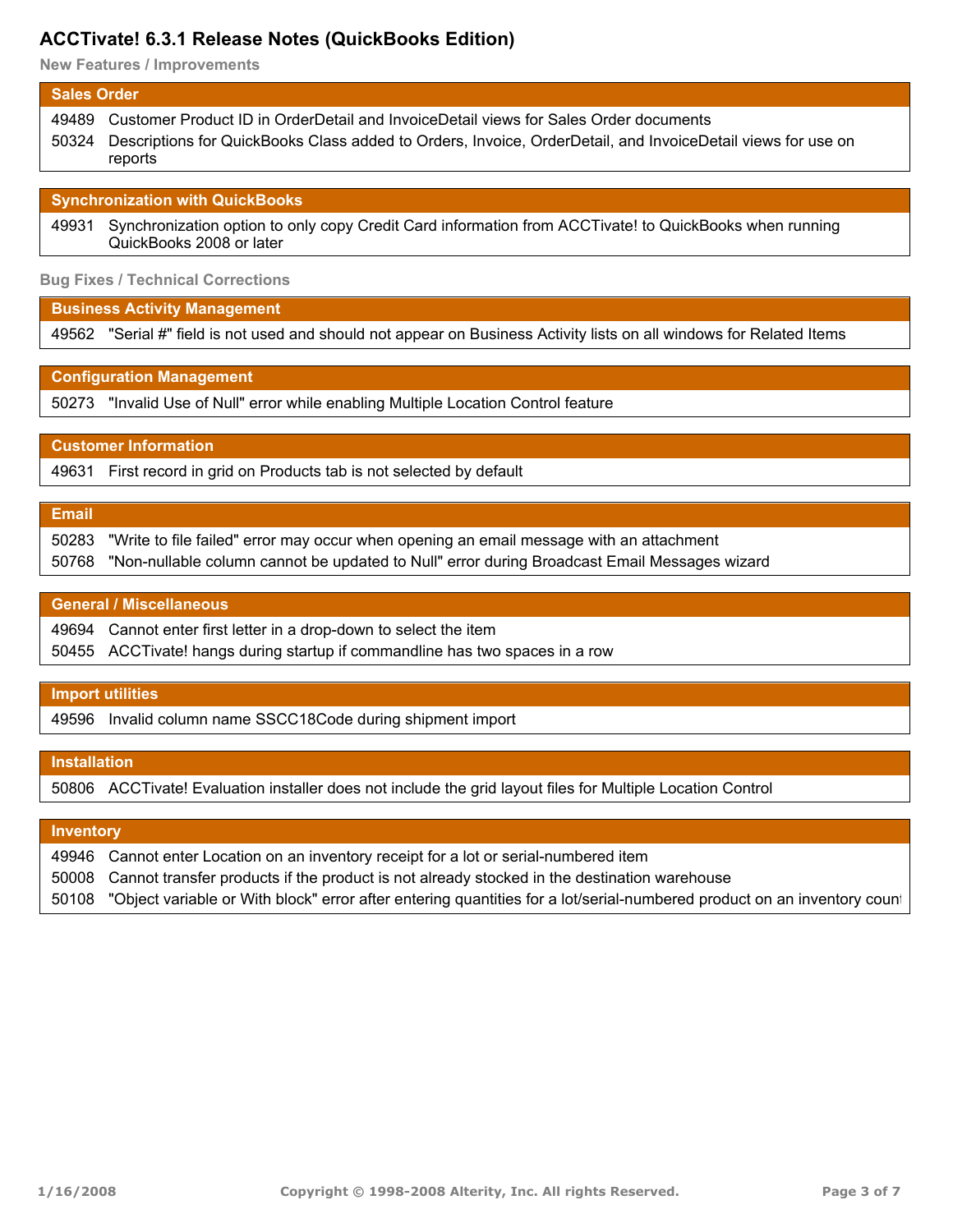# **ACCTivate! 6.3.1 Release Notes (QuickBooks Edition)**

**New Features / Improvements**

#### **Sales Order**

| 49489 Customer Product ID in OrderDetail and InvoiceDetail views for Sales Order documents                                   |
|------------------------------------------------------------------------------------------------------------------------------|
| 50324 Descriptions for QuickBooks Class added to Orders, Invoice, OrderDetail, and InvoiceDetail views for use on<br>reports |

#### **Synchronization with QuickBooks**

Synchronization option to only copy Credit Card information from ACCTivate! to QuickBooks when running QuickBooks 2008 or later 49931

#### **Bug Fixes / Technical Corrections**

### **Business Activity Management**

49562 "Serial #" field is not used and should not appear on Business Activity lists on all windows for Related Items

## **Configuration Management**

50273 "Invalid Use of Null" error while enabling Multiple Location Control feature

# **Customer Information**

49631 First record in grid on Products tab is not selected by default

# **Email**

50283 "Write to file failed" error may occur when opening an email message with an attachment 50768 "Non-nullable column cannot be updated to Null" error during Broadcast Email Messages wizard

### **General / Miscellaneous**

| 49694 Cannot enter first letter in a drop-down to select the item            |
|------------------------------------------------------------------------------|
| 50455 ACCTivate! hangs during startup if commandline has two spaces in a row |

# **Import utilities**

49596 Invalid column name SSCC18Code during shipment import

## **Installation**

50806 ACCTivate! Evaluation installer does not include the grid layout files for Multiple Location Control

# **Inventory**

| 49946 Cannot enter Location on an inventory receipt for a lot or serial-numbered item             |
|---------------------------------------------------------------------------------------------------|
| 50008 Cannot transfer products if the product is not already stocked in the destination warehouse |

50108 "Object variable or With block" error after entering quantities for a lot/serial-numbered product on an inventory count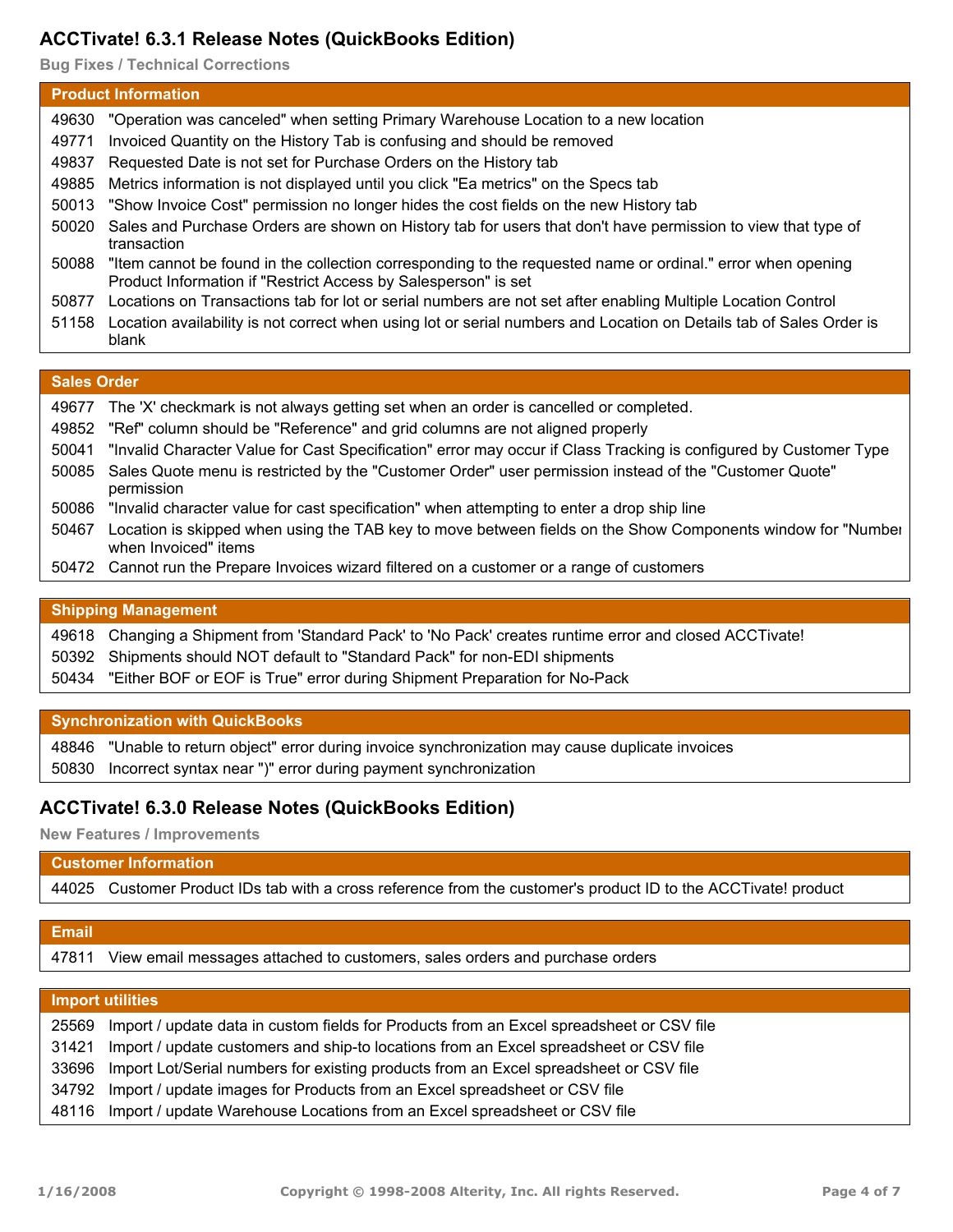# **ACCTivate! 6.3.1 Release Notes (QuickBooks Edition)**

**Bug Fixes / Technical Corrections**

| <b>Product Information</b> |                                                                                                                                                                               |
|----------------------------|-------------------------------------------------------------------------------------------------------------------------------------------------------------------------------|
| 49630                      | "Operation was canceled" when setting Primary Warehouse Location to a new location                                                                                            |
| 49771                      | Invoiced Quantity on the History Tab is confusing and should be removed                                                                                                       |
| 49837                      | Requested Date is not set for Purchase Orders on the History tab                                                                                                              |
| 49885                      | Metrics information is not displayed until you click "Ea metrics" on the Specs tab                                                                                            |
| 50013                      | "Show Invoice Cost" permission no longer hides the cost fields on the new History tab                                                                                         |
| 50020                      | Sales and Purchase Orders are shown on History tab for users that don't have permission to view that type of<br>transaction                                                   |
| 50088                      | "Item cannot be found in the collection corresponding to the requested name or ordinal." error when opening<br>Product Information if "Restrict Access by Salesperson" is set |
| 50877                      | Locations on Transactions tab for lot or serial numbers are not set after enabling Multiple Location Control                                                                  |
| 51158                      | Location availability is not correct when using lot or serial numbers and Location on Details tab of Sales Order is<br>blank                                                  |

## **Sales Order**

|       | 49677 The 'X' checkmark is not always getting set when an order is cancelled or completed.                                           |  |
|-------|--------------------------------------------------------------------------------------------------------------------------------------|--|
|       | 49852 "Ref" column should be "Reference" and grid columns are not aligned properly                                                   |  |
|       | 50041 "Invalid Character Value for Cast Specification" error may occur if Class Tracking is configured by Customer Type              |  |
|       | 50085 Sales Quote menu is restricted by the "Customer Order" user permission instead of the "Customer Quote"<br>permission           |  |
| 50086 | "Invalid character value for cast specification" when attempting to enter a drop ship line                                           |  |
| 50467 | Location is skipped when using the TAB key to move between fields on the Show Components window for "Number"<br>when Invoiced" items |  |
|       | 50472 Cannot run the Prepare Invoices wizard filtered on a customer or a range of customers                                          |  |
|       |                                                                                                                                      |  |
|       | <b>Shipping Management</b>                                                                                                           |  |

| 49618 Changing a Shipment from 'Standard Pack' to 'No Pack' creates runtime error and closed ACCTivate! |
|---------------------------------------------------------------------------------------------------------|
| 50392 Shipments should NOT default to "Standard Pack" for non-EDI shipments                             |
| 50434 "Either BOF or EOF is True" error during Shipment Preparation for No-Pack                         |

# **Synchronization with QuickBooks**

48846 "Unable to return object" error during invoice synchronization may cause duplicate invoices 50830 Incorrect syntax near ")" error during payment synchronization

# **ACCTivate! 6.3.0 Release Notes (QuickBooks Edition)**

**New Features / Improvements**

# **Customer Information**

44025 Customer Product IDs tab with a cross reference from the customer's product ID to the ACCTivate! product

| <b>Email</b> |                                                                                          |
|--------------|------------------------------------------------------------------------------------------|
| 47811        | View email messages attached to customers, sales orders and purchase orders              |
|              |                                                                                          |
|              | <b>Import utilities</b>                                                                  |
| 25569        | Import / update data in custom fields for Products from an Excel spreadsheet or CSV file |
| 31421        | Import / update customers and ship-to locations from an Excel spreadsheet or CSV file    |
| 33696        | Import Lot/Serial numbers for existing products from an Excel spreadsheet or CSV file    |
| 34792        | Import / update images for Products from an Excel spreadsheet or CSV file                |
| 48116        | Import / update Warehouse Locations from an Excel spreadsheet or CSV file                |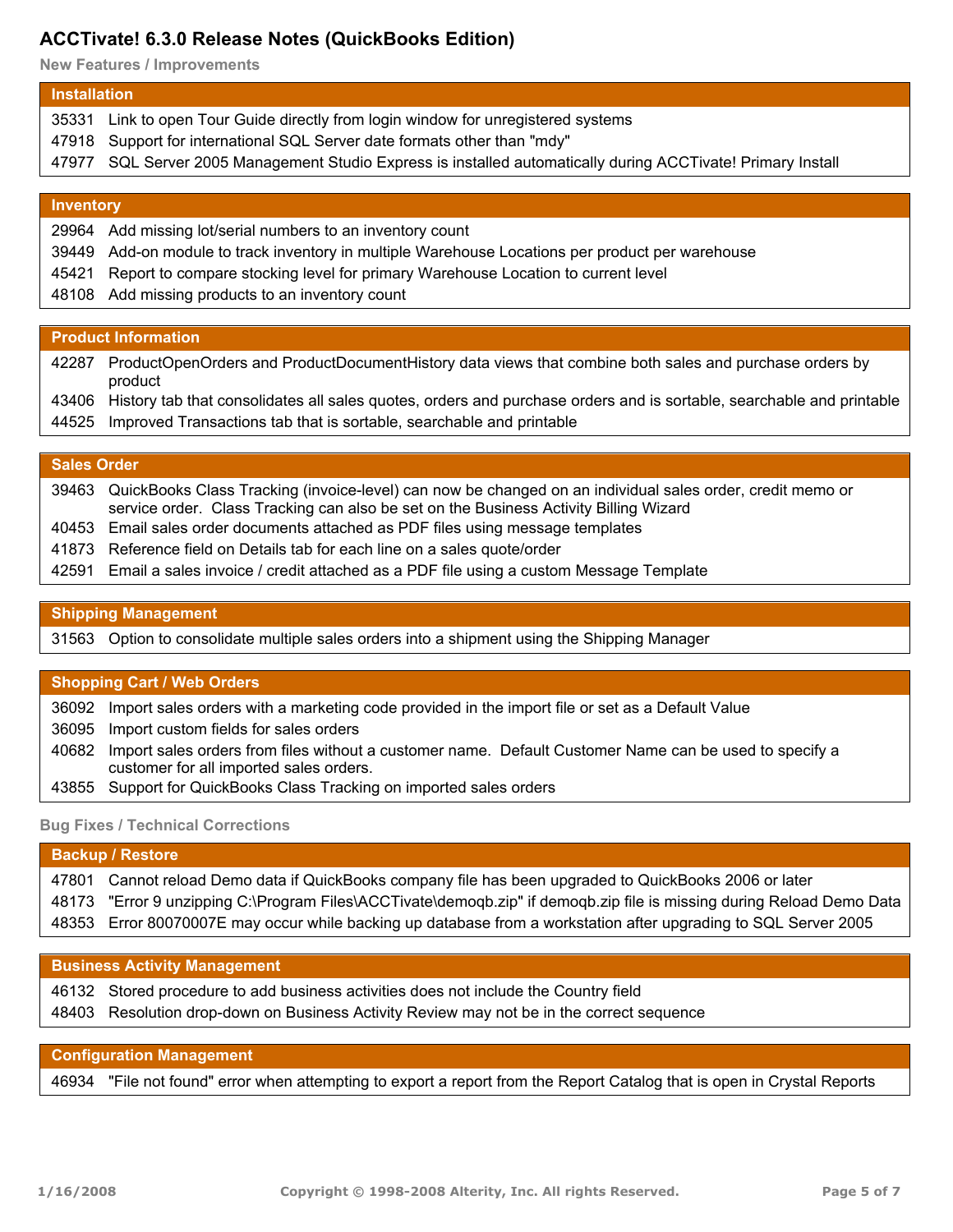# **ACCTivate! 6.3.0 Release Notes (QuickBooks Edition)**

**New Features / Improvements**

#### **Installation**

- 35331 Link to open Tour Guide directly from login window for unregistered systems
- 47918 Support for international SQL Server date formats other than "mdy"
- 47977 SQL Server 2005 Management Studio Express is installed automatically during ACCTivate! Primary Install

#### **Inventory**

- 29964 Add missing lot/serial numbers to an inventory count
- 39449 Add-on module to track inventory in multiple Warehouse Locations per product per warehouse
- 45421 Report to compare stocking level for primary Warehouse Location to current level
- 48108 Add missing products to an inventory count

## **Product Information**

42287 ProductOpenOrders and ProductDocumentHistory data views that combine both sales and purchase orders by product

- 43406 History tab that consolidates all sales quotes, orders and purchase orders and is sortable, searchable and printable
- 44525 Improved Transactions tab that is sortable, searchable and printable

#### **Sales Order**

| 39463 QuickBooks Class Tracking (invoice-level) can now be changed on an individual sales order, credit memo or |
|-----------------------------------------------------------------------------------------------------------------|
| service order. Class Tracking can also be set on the Business Activity Billing Wizard                           |
| 40453 Email sales order documents attached as PDF files using message templates                                 |
| 41873 Reference field on Details tab for each line on a sales quote/order                                       |

42591 Email a sales invoice / credit attached as a PDF file using a custom Message Template

## **Shipping Management**

31563 Option to consolidate multiple sales orders into a shipment using the Shipping Manager

### **Shopping Cart / Web Orders**

36092 Import sales orders with a marketing code provided in the import file or set as a Default Value

36095 Import custom fields for sales orders

- 40682 Import sales orders from files without a customer name. Default Customer Name can be used to specify a customer for all imported sales orders.
- 43855 Support for QuickBooks Class Tracking on imported sales orders

### **Bug Fixes / Technical Corrections**

| <b>Backup / Restore</b> |                                                                                                                       |
|-------------------------|-----------------------------------------------------------------------------------------------------------------------|
|                         | 47801 Cannot reload Demo data if QuickBooks company file has been upgraded to QuickBooks 2006 or later                |
|                         | 48173 "Error 9 unzipping C:\Program Files\ACCTivate\demoqb.zip" if demoqb.zip file is missing during Reload Demo Data |
|                         | 48353 Error 80070007E may occur while backing up database from a workstation after upgrading to SQL Server 2005       |

#### **Business Activity Management**

| 46132 Stored procedure to add business activities does not include the Country field      |
|-------------------------------------------------------------------------------------------|
| 48403 Resolution drop-down on Business Activity Review may not be in the correct sequence |

## **Configuration Management**

46934 "File not found" error when attempting to export a report from the Report Catalog that is open in Crystal Reports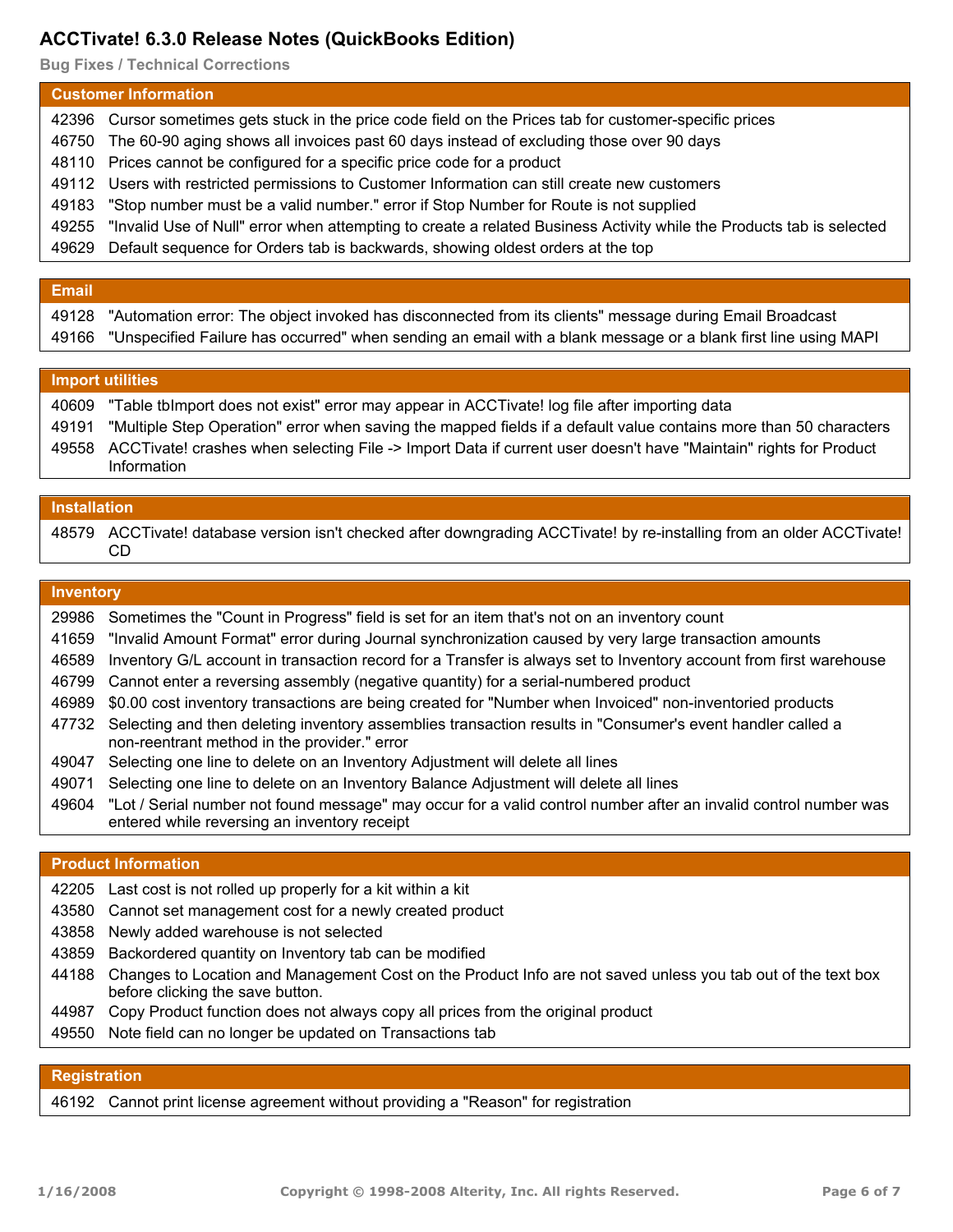# **ACCTivate! 6.3.0 Release Notes (QuickBooks Edition)**

**Bug Fixes / Technical Corrections**

| <b>Customer Information</b> |                                                                                                                            |  |
|-----------------------------|----------------------------------------------------------------------------------------------------------------------------|--|
|                             | 42396 Cursor sometimes gets stuck in the price code field on the Prices tab for customer-specific prices                   |  |
|                             | 46750 The 60-90 aging shows all invoices past 60 days instead of excluding those over 90 days                              |  |
|                             | 48110 Prices cannot be configured for a specific price code for a product                                                  |  |
|                             | 49112 Users with restricted permissions to Customer Information can still create new customers                             |  |
|                             | 49183 "Stop number must be a valid number." error if Stop Number for Route is not supplied                                 |  |
|                             | 49255 "Invalid Use of Null" error when attempting to create a related Business Activity while the Products tab is selected |  |
|                             | 49629 Default sequence for Orders tab is backwards, showing oldest orders at the top                                       |  |

#### **Email**

| 49128 "Automation error: The object invoked has disconnected from its clients" message during Email Broadcast        |
|----------------------------------------------------------------------------------------------------------------------|
| 49166 "Unspecified Failure has occurred" when sending an email with a blank message or a blank first line using MAPI |
|                                                                                                                      |

# **Import utilities**

| 40609 | "Table tblmport does not exist" error may appear in ACCTivate! log file after importing data                            |
|-------|-------------------------------------------------------------------------------------------------------------------------|
|       | 49191 "Multiple Step Operation" error when saving the mapped fields if a default value contains more than 50 characters |
|       | 49558 ACCTivate! crashes when selecting File -> Import Data if current user doesn't have "Maintain" rights for Product  |
|       | Information                                                                                                             |

#### **Installation**

| 48579 ACCTivate! database version isn't checked after downgrading ACCTivate! by re-installing from an older ACCTivate! |
|------------------------------------------------------------------------------------------------------------------------|
|                                                                                                                        |

#### **Inventory**

- 29986 Sometimes the "Count in Progress" field is set for an item that's not on an inventory count
- 41659 "Invalid Amount Format" error during Journal synchronization caused by very large transaction amounts
- 46589 Inventory G/L account in transaction record for a Transfer is always set to Inventory account from first warehouse
- 46799 Cannot enter a reversing assembly (negative quantity) for a serial-numbered product
- 46989 \$0.00 cost inventory transactions are being created for "Number when Invoiced" non-inventoried products
- 47732 Selecting and then deleting inventory assemblies transaction results in "Consumer's event handler called a non-reentrant method in the provider." error
- 49047 Selecting one line to delete on an Inventory Adjustment will delete all lines
- 49071 Selecting one line to delete on an Inventory Balance Adjustment will delete all lines
- 49604 "Lot / Serial number not found message" may occur for a valid control number after an invalid control number was entered while reversing an inventory receipt

### **Product Information**

- 42205 Last cost is not rolled up properly for a kit within a kit
- 43580 Cannot set management cost for a newly created product
- 43858 Newly added warehouse is not selected
- 43859 Backordered quantity on Inventory tab can be modified
- Changes to Location and Management Cost on the Product Info are not saved unless you tab out of the text box 44188 before clicking the save button.
- 44987 Copy Product function does not always copy all prices from the original product
- 49550 Note field can no longer be updated on Transactions tab

# **Registration**

46192 Cannot print license agreement without providing a "Reason" for registration